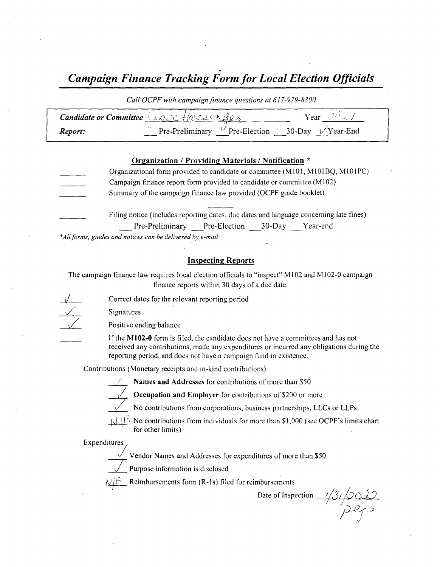# Campaign Finance Tracking Form for Local Election Officials

Call OCPF with campaign finance questions at 617-979-8300

|         | Candidate or Committee CROSE Hassinges                     | Year $\forall$ <sup>22</sup> 2 / |
|---------|------------------------------------------------------------|----------------------------------|
| Report: | Pre-Preliminary $\vee$ Pre-Election 30-Day $\vee$ Year-End |                                  |

### Organization / Providing Materials/ Notification \*

Organizational form provided to candidate or committee (M101, M101BQ, M101PC) Campaign finance report form provided to candidate or committee( M102) Summary of the campaign finance law provided (OCPF guide booklet) Filing notice (includes reporting dates, due dates and language concerning late fines) Pre-Preliminary Pre-Election 30-Day Year-end

\*All forms, guides and notices can be delivered by e-mail

### Inspecting Reports

The campaign finance law requires local election officials to "inspect" M102 and M102-0 campaign finance reports within 30 days of <sup>a</sup> due date.

Correct dates for the relevant reporting period

Signatures

Positive ending balance

If the M102-0 form is filed, the candidate does not have a committees and has not received any contributions, made any expenditures or incurred any obligations during the reporting period, and does not have a campaign fund in existence.

Contributions ( Monetary receipts and in- kind contributions)



Names and Addresses for contributions of more than S50

Occupation and Employer for contributions of \$200 or more



 $\mathbb{N}$   $\mathbb{H}^2$  No contributions from individuals for more than \$1,000 (see OCPF's limits chart for other limits)

Expenditures

 $\sqrt{a}$  Vendor Names and Addresses for expenditures of more than \$50  $\,$ 

Purpose information is disclosed

 $U_l^G$  Reimbursements form (R-1s) filed for reimbursements

Date of Inspection  $\frac{1}{31}$   $\frac{1}{20}$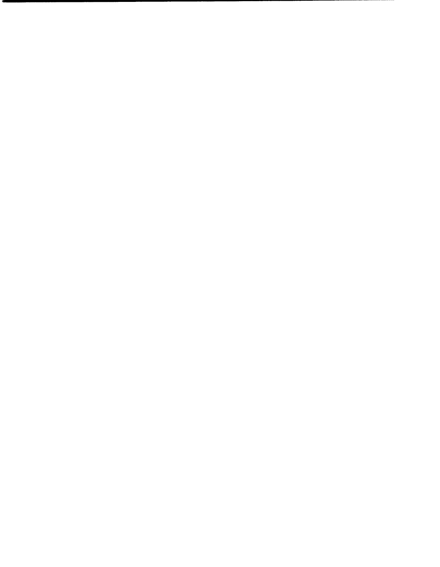<u>III. Maanda markaa ka</u>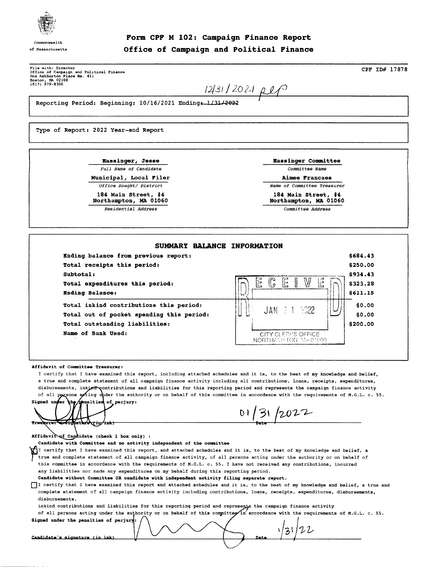

 $Commonback 1 th$ of Massachusetts

### Form CPF M 102: Campaign Finance Report Office of Campaign and Political Finance

Tile with: Director<br>
Office of Campaign and Political Pinance<br>
One Ashburton Place Rm. 411<br>
Boston, MA 02108<br>
(617) 979-8300

 $12|31/2021 \rho l^{\circ}$ 

Reporting Period: Beginning: 10/16/2021 Ending: 1/31/202

Type of Report: 2022 Year-end Report

**Hassinger, Jesse** 

Full Name of Candidate

Municipal, Local Filer Office Sought/ District

184 Main Street, #4 Northampton, MA 01060 Residential Address

**Hassinger Committee** 

CPF ID# 17878

Committee Name

Aimee Francaes Name of Committee Treasurer

184 Main Street, #4 Northampton, MA 01060

Committee Address



#### Affidavit of Committee Treasurer

I certify that I have examined this report, including attached schedules and it is, to the best of my knowledge and belief, a true and complete statement of all campaign finance activity including all contributions, loans, receipts, expenditures, disbursements, inkind contributions and liabilities for this reporting period and represents the campaign finance activity of all persons exting under the authority or on behalf of this committee in accordance with the requirements of M.G.L. c. 55.

he ponalties of perjury: Signed under مرز بہا Treasure ÷шк

01/31/2022

Affidavit of Candidate (check 1 box only) :

Candidate with Committee and no activity independent of the committee

 $\bigstar$ ]I certify that I have examined this report, and attached schedules and it is, to the best of my knowledge and belief, a true and complete statement of all campaign finance activity, of all persons acting under the authority or on behalf of this committee in accordance with the requirements of M.G.L. c. 55. I have not received any contributions, incurred any liabilities nor made any expenditures on my behalf during this reporting period.

Candidate without Committee OR candidate with independent activity filing separate report.

[I certify that I have examined this report and attached schedules and it is, to the best of my knowledge and belief, a true and complete statement of all campaign finance activity including contributions, loans, receipts, expenditures, disbursements, disbursements.

inkind contributions and liabilities for this reporting period and represents the campaign finance activity

of all persons acting under the authority or on behalf of this committee in accordance with the requirements of M.G.L. c. 55.

Signed under the penalties of perjury:  $1/31/22$ Candidate's signature (in ink)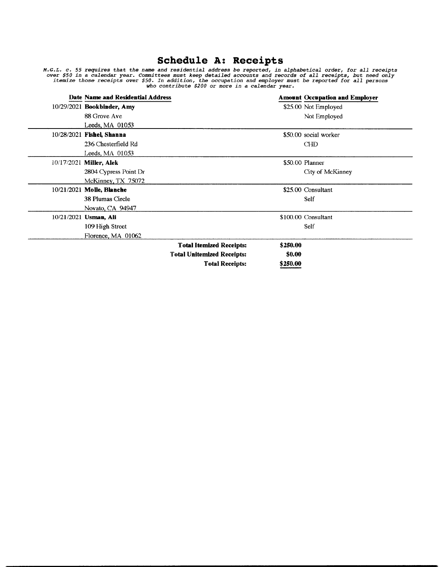## Schedule A: Receipts

M.G.L. c. 55 requires that the name and residential address be reported, in alphabetical order, for all receipt<br>over \$50 in a calendar year. Committees must keep detailed accounts and records of all receipts, but need only

|  | Date Name and Residential Address |                                   |          | <b>Amount Occupation and Employer</b> |
|--|-----------------------------------|-----------------------------------|----------|---------------------------------------|
|  | $10/29/2021$ Bookbinder, Amy      |                                   |          | \$25.00 Not Employed                  |
|  | 88 Grove Ave                      |                                   |          | Not Employed                          |
|  | Leeds, MA 01053                   |                                   |          |                                       |
|  | 10/28/2021 Fishel, Shanna         |                                   |          | \$50.00 social worker                 |
|  | 236 Chesterfield Rd               |                                   |          | <b>CHD</b>                            |
|  | Leeds, MA 01053                   |                                   |          |                                       |
|  | 10/17/2021 Miller, Alek           |                                   |          | \$50.00 Planner                       |
|  | 2804 Cypress Point Dr             |                                   |          | City of McKinney                      |
|  | McKinney, TX 75072                |                                   |          |                                       |
|  | 10/21/2021 Molle, Blanche         |                                   |          | \$25.00 Consultant                    |
|  | 38 Plumas Circle                  |                                   |          | Self                                  |
|  | Novato, CA 94947                  |                                   |          |                                       |
|  | 10/21/2021 Usman, Ali             |                                   |          | \$100.00 Consultant                   |
|  | 109 High Street                   |                                   |          | Self                                  |
|  | Florence, MA 01062                |                                   |          |                                       |
|  |                                   | <b>Total Itemized Receipts:</b>   | \$250.00 |                                       |
|  |                                   | <b>Total Unitemized Receipts:</b> | \$0.00   |                                       |
|  |                                   | <b>Total Receipts:</b>            | \$250.00 |                                       |
|  |                                   |                                   |          |                                       |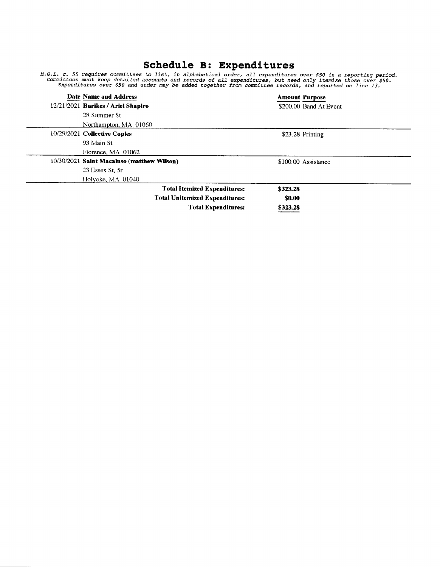## Schedule B: Expenditures

M.G.L. c. 55 requires committees to list, in alphabetical order, all expenditures over \$50 in a reporting period<br>Committees must keep detailed accounts and records of all expenditures, but need only itemize those over \$50.

| Date Name and Address                      | <b>Amount Purpose</b>  |
|--------------------------------------------|------------------------|
| 12/21/2021 Burikes / Ariel Shapiro         | \$200.00 Band At Event |
| 28 Summer St                               |                        |
| Northampton, MA 01060                      |                        |
| 10/29/2021 Collective Copies               | $$23.28$ Printing      |
| 93 Main St                                 |                        |
| Florence, MA 01062                         |                        |
| 10/30/2021 Saint Macaluso (matthew Wilson) | \$100.00 Assistance    |
| 23 Essex St. 5r                            |                        |
| Holyoke, MA 01040                          |                        |
| <b>Total Itemized Expenditures:</b>        | \$323.28               |
| <b>Total Unitemized Expenditures:</b>      | \$0.00                 |
| <b>Total Expenditures:</b>                 | \$323.28               |